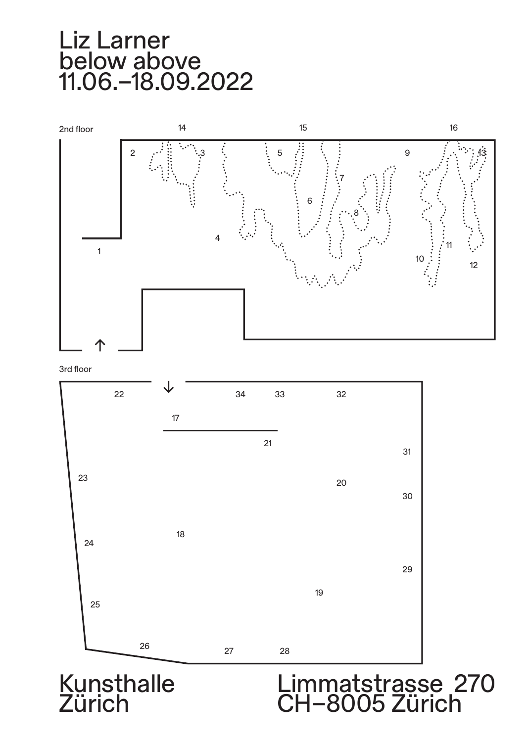



3rd floor



**Kunsthalle** Zürich

## Limmatstrasse 270 CH–8005 Zürich